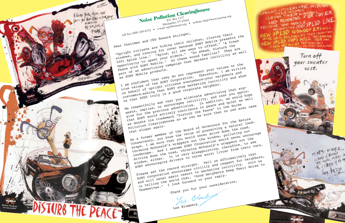Les Blomberg

please set the record straight, Tell us affirmatively that Flease set the record straight. The distribution of the set of the record straight. The civility and respect for neighbors, bound will never again that word with the main their the summary or point of the summary or point of the summary or point of the summary or point of the summary of the summary of the summary of the summary of the summary o and WILL never again resort to marketing incryiting. Noise to<br>and WILL never again resort "Good Neighbors Keep Their Noise to<br>in telling the World formand to your reply Themselves." I look forward to your reply. Thank you for your consideration, Yes Blomb

as uvilate the travellation one can be sure that no one ever uses As a former member of the Board of Governors for the Nature conservancy, you know the value of preserving a natural land-<br>conservancy, you know the value of preserving a natural land-CONSELVANCY, you know the value of preserving a natural land,<br>scape. I am sure that you would never drive down the road, scape. 1 am sure chat you would hever ut the window, polluting our scape. 1 am sure chat you would hever ut the window, polluting our Intowing rubouald is wrappers out the writing would never encourage Lanuscape. Ally 1 assume punt curporation would never encour<br>driving down the road, throwing McDonald's wrappers out the utiving down the road, throwing monomain it is very disappointing, therefore, to see therefore, to see therefore, to see therefore, to see therefore, to see therefore, to see therefore, to see therefore, to see therefore, William, either. It is very disappointing, therefore, to see<br>SONY encouraging drivers to throw aural litter from their cars.

on penall of upright citizens everywhere-your neighbors and show<br>on penall of upright SONY stop marketing incivility and show<br>customers-asking that SONY stop marketing incivility us comet sony truly is a good corporate neighbor. We respectfully ask that you eliminate advertising that sug-<br>we respectfully ask that you eliminate advertising that sugwe respectfully ask that you eliminate auvertising that you apolo-<br>and that you apolo-<br>gests, implies, or encourages incivility, asking the summary gests, implies, or encourages including, and that you applies hope<br>gests, implies, or encourages including, in addition, we would hope<br>gize for the previous advertising. y<sub>rze</sub> Lut the previous davertising. In addition, we would nope<br>that SONY would actively contribute to peace and quiet as well<br>that SONY would actively contribute to peace in the main that punt would accurely concluded the Peace" to the Noise<br>as donate its trademark "Disturb".

windows, and running ror cover pecause buny months the fresh<br>windows, and running ror cover pecause buny ways to offend." "A fresh<br>2001 Xplod line." "Xplod, all new ways to offend." the the A ITES<br>
Lullar and the spring and the spring of the spring to different the spring and the spring of the spring of the space of the space of the space of the space of the space of the space of the space of the space of the opportunity to upset your elaers. Sound familiar? They are<br>peace with SONY Mobile." Do these sound familiar? reace with punt mouthe, by these sound ramitation iney are well<br>part of an advertising campaign that markets incivility as well I am confident that they do not represent your values or the<br>I am confident that they do not represent your values or the L am contraent that they do not represent your varues of the sony corporation. as SONY Mobile products. true values of the punt corporation. Therefore, I am writtle

Dear Chairman and CEO Howard Stringer, "Upright citizens are hiding their children, closing their windows, and running world on the cutture of the sents the cross-up world are in the because SONY Mobile presents the

Noise Pollution Clearinghouse Montpelier,  $v_1$  05601<br>website: http://www.nonoise.org<br>toll free (888) 200-8332 • e-mail: npc@nonoise.org

Elevate Your Mesic, man

IN WOLD CAFE TRY JOUR LUCK a

YOU HAVE EARS ON YOUR FEE

**FREAK**